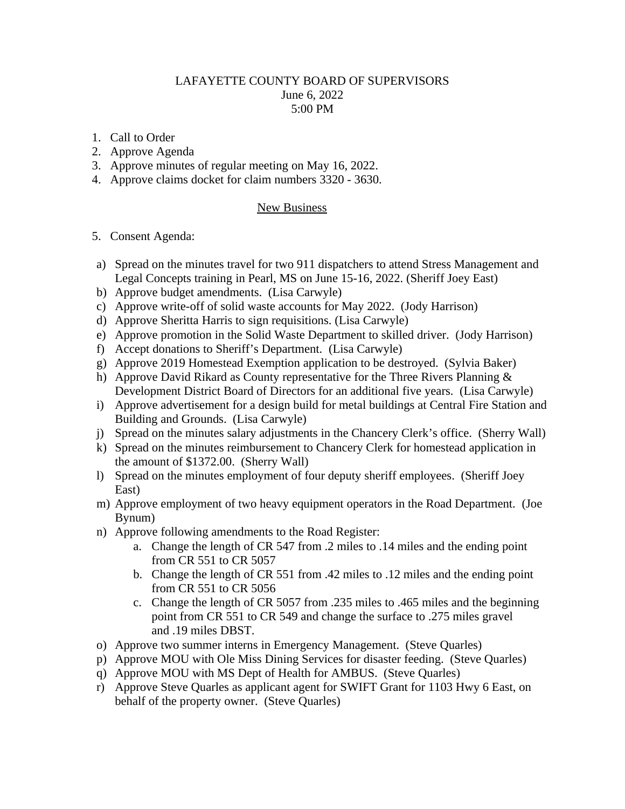## LAFAYETTE COUNTY BOARD OF SUPERVISORS June 6, 2022 5:00 PM

- 1. Call to Order
- 2. Approve Agenda
- 3. Approve minutes of regular meeting on May 16, 2022.
- 4. Approve claims docket for claim numbers 3320 3630.

## New Business

## 5. Consent Agenda:

- a) Spread on the minutes travel for two 911 dispatchers to attend Stress Management and Legal Concepts training in Pearl, MS on June 15-16, 2022. (Sheriff Joey East)
- b) Approve budget amendments. (Lisa Carwyle)
- c) Approve write-off of solid waste accounts for May 2022. (Jody Harrison)
- d) Approve Sheritta Harris to sign requisitions. (Lisa Carwyle)
- e) Approve promotion in the Solid Waste Department to skilled driver. (Jody Harrison)
- f) Accept donations to Sheriff's Department. (Lisa Carwyle)
- g) Approve 2019 Homestead Exemption application to be destroyed. (Sylvia Baker)
- h) Approve David Rikard as County representative for the Three Rivers Planning & Development District Board of Directors for an additional five years. (Lisa Carwyle)
- i) Approve advertisement for a design build for metal buildings at Central Fire Station and Building and Grounds. (Lisa Carwyle)
- j) Spread on the minutes salary adjustments in the Chancery Clerk's office. (Sherry Wall)
- k) Spread on the minutes reimbursement to Chancery Clerk for homestead application in the amount of \$1372.00. (Sherry Wall)
- l) Spread on the minutes employment of four deputy sheriff employees. (Sheriff Joey East)
- m) Approve employment of two heavy equipment operators in the Road Department. (Joe Bynum)
- n) Approve following amendments to the Road Register:
	- a. Change the length of CR 547 from .2 miles to .14 miles and the ending point from CR 551 to CR 5057
	- b. Change the length of CR 551 from .42 miles to .12 miles and the ending point from CR 551 to CR 5056
	- c. Change the length of CR 5057 from .235 miles to .465 miles and the beginning point from CR 551 to CR 549 and change the surface to .275 miles gravel and .19 miles DBST.
- o) Approve two summer interns in Emergency Management. (Steve Quarles)
- p) Approve MOU with Ole Miss Dining Services for disaster feeding. (Steve Quarles)
- q) Approve MOU with MS Dept of Health for AMBUS. (Steve Quarles)
- r) Approve Steve Quarles as applicant agent for SWIFT Grant for 1103 Hwy 6 East, on behalf of the property owner. (Steve Quarles)